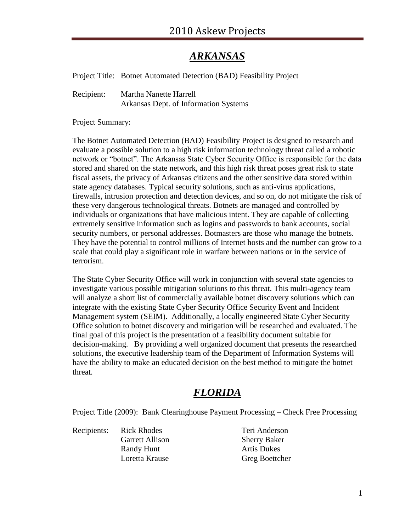#### *ARKANSAS*

Project Title: Botnet Automated Detection (BAD) Feasibility Project

Recipient: Martha Nanette Harrell Arkansas Dept. of Information Systems

Project Summary:

The Botnet Automated Detection (BAD) Feasibility Project is designed to research and evaluate a possible solution to a high risk information technology threat called a robotic network or "botnet". The Arkansas State Cyber Security Office is responsible for the data stored and shared on the state network, and this high risk threat poses great risk to state fiscal assets, the privacy of Arkansas citizens and the other sensitive data stored within state agency databases. Typical security solutions, such as anti-virus applications, firewalls, intrusion protection and detection devices, and so on, do not mitigate the risk of these very dangerous technological threats. Botnets are managed and controlled by individuals or organizations that have malicious intent. They are capable of collecting extremely sensitive information such as logins and passwords to bank accounts, social security numbers, or personal addresses. Botmasters are those who manage the botnets. They have the potential to control millions of Internet hosts and the number can grow to a scale that could play a significant role in warfare between nations or in the service of terrorism.

The State Cyber Security Office will work in conjunction with several state agencies to investigate various possible mitigation solutions to this threat. This multi-agency team will analyze a short list of commercially available botnet discovery solutions which can integrate with the existing State Cyber Security Office Security Event and Incident Management system (SEIM). Additionally, a locally engineered State Cyber Security Office solution to botnet discovery and mitigation will be researched and evaluated. The final goal of this project is the presentation of a feasibility document suitable for decision-making. By providing a well organized document that presents the researched solutions, the executive leadership team of the Department of Information Systems will have the ability to make an educated decision on the best method to mitigate the botnet threat.

## *FLORIDA*

Project Title (2009): Bank Clearinghouse Payment Processing – Check Free Processing

Recipients: Rick Rhodes Teri Anderson

Garrett Allison Sherry Baker Randy Hunt **Artis Dukes** Loretta Krause Greg Boettcher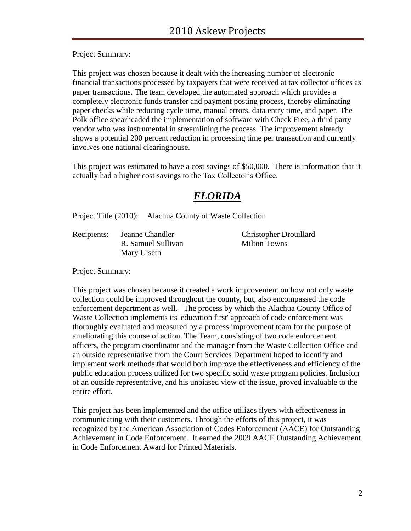Project Summary:

This project was chosen because it dealt with the increasing number of electronic financial transactions processed by taxpayers that were received at tax collector offices as paper transactions. The team developed the automated approach which provides a completely electronic funds transfer and payment posting process, thereby eliminating paper checks while reducing cycle time, manual errors, data entry time, and paper. The Polk office spearheaded the implementation of software with Check Free, a third party vendor who was instrumental in streamlining the process. The improvement already shows a potential 200 percent reduction in processing time per transaction and currently involves one national clearinghouse.

This project was estimated to have a cost savings of \$50,000. There is information that it actually had a higher cost savings to the Tax Collector's Office.

## *FLORIDA*

Project Title (2010): Alachua County of Waste Collection

Recipients: Jeanne Chandler Christopher Drouillard R. Samuel Sullivan Milton Towns Mary Ulseth

Project Summary:

This project was chosen because it created a work improvement on how not only waste collection could be improved throughout the county, but, also encompassed the code enforcement department as well. The process by which the Alachua County Office of Waste Collection implements its 'education first' approach of code enforcement was thoroughly evaluated and measured by a process improvement team for the purpose of ameliorating this course of action. The Team, consisting of two code enforcement officers, the program coordinator and the manager from the Waste Collection Office and an outside representative from the Court Services Department hoped to identify and implement work methods that would both improve the effectiveness and efficiency of the public education process utilized for two specific solid waste program policies. Inclusion of an outside representative, and his unbiased view of the issue, proved invaluable to the entire effort.

This project has been implemented and the office utilizes flyers with effectiveness in communicating with their customers. Through the efforts of this project, it was recognized by the American Association of Codes Enforcement (AACE) for Outstanding Achievement in Code Enforcement. It earned the 2009 AACE Outstanding Achievement in Code Enforcement Award for Printed Materials.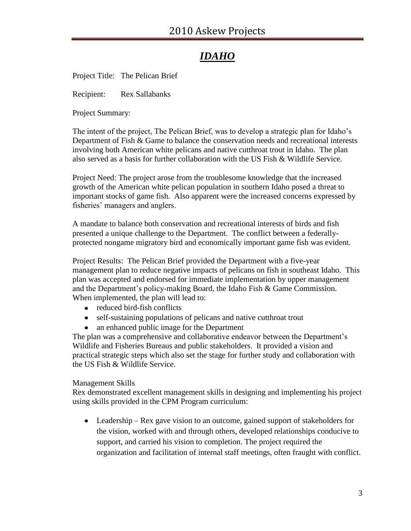# *IDAHO*

Project Title: The Pelican Brief

Recipient: Rex Sallabanks

Project Summary:

The intent of the project, The Pelican Brief, was to develop a strategic plan for Idaho's Department of Fish & Game to balance the conservation needs and recreational interests involving both American white pelicans and native cutthroat trout in Idaho. The plan also served as a basis for further collaboration with the US Fish & Wildlife Service.

Project Need: The project arose from the troublesome knowledge that the increased growth of the American white pelican population in southern Idaho posed a threat to important stocks of game fish. Also apparent were the increased concerns expressed by fisheries' managers and anglers.

A mandate to balance both conservation and recreational interests of birds and fish presented a unique challenge to the Department. The conflict between a federallyprotected nongame migratory bird and economically important game fish was evident.

Project Results: The Pelican Brief provided the Department with a five-year management plan to reduce negative impacts of pelicans on fish in southeast Idaho. This plan was accepted and endorsed for immediate implementation by upper management and the Department's policy-making Board, the Idaho Fish & Game Commission. When implemented, the plan will lead to:

- reduced bird-fish conflicts
- self-sustaining populations of pelicans and native cutthroat trout
- $\bullet$ an enhanced public image for the Department

The plan was a comprehensive and collaborative endeavor between the Department's Wildlife and Fisheries Bureaus and public stakeholders. It provided a vision and practical strategic steps which also set the stage for further study and collaboration with the US Fish & Wildlife Service.

#### Management Skills

Rex demonstrated excellent management skills in designing and implementing his project using skills provided in the CPM Program curriculum:

• Leadership – Rex gave vision to an outcome, gained support of stakeholders for the vision, worked with and through others, developed relationships conducive to support, and carried his vision to completion. The project required the organization and facilitation of internal staff meetings, often fraught with conflict.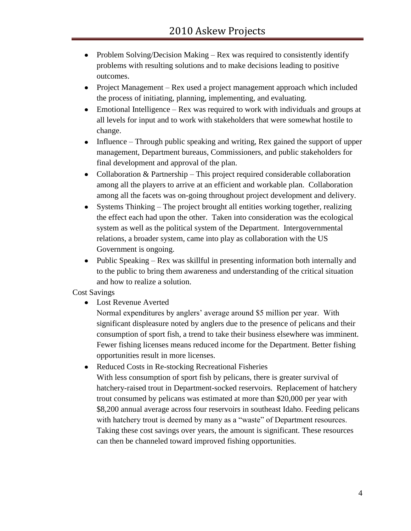- Problem Solving/Decision Making Rex was required to consistently identify  $\bullet$ problems with resulting solutions and to make decisions leading to positive outcomes.
- Project Management Rex used a project management approach which included the process of initiating, planning, implementing, and evaluating.
- Emotional Intelligence Rex was required to work with individuals and groups at all levels for input and to work with stakeholders that were somewhat hostile to change.
- Influence Through public speaking and writing, Rex gained the support of upper  $\bullet$ management, Department bureaus, Commissioners, and public stakeholders for final development and approval of the plan.
- Collaboration & Partnership This project required considerable collaboration among all the players to arrive at an efficient and workable plan. Collaboration among all the facets was on-going throughout project development and delivery.
- Systems Thinking The project brought all entities working together, realizing  $\bullet$ the effect each had upon the other. Taken into consideration was the ecological system as well as the political system of the Department. Intergovernmental relations, a broader system, came into play as collaboration with the US Government is ongoing.
- Public Speaking Rex was skillful in presenting information both internally and to the public to bring them awareness and understanding of the critical situation and how to realize a solution.

Cost Savings

Lost Revenue Averted

Normal expenditures by anglers' average around \$5 million per year. With significant displeasure noted by anglers due to the presence of pelicans and their consumption of sport fish, a trend to take their business elsewhere was imminent. Fewer fishing licenses means reduced income for the Department. Better fishing opportunities result in more licenses.

Reduced Costs in Re-stocking Recreational Fisheries  $\bullet$ With less consumption of sport fish by pelicans, there is greater survival of hatchery-raised trout in Department-socked reservoirs. Replacement of hatchery trout consumed by pelicans was estimated at more than \$20,000 per year with \$8,200 annual average across four reservoirs in southeast Idaho. Feeding pelicans with hatchery trout is deemed by many as a "waste" of Department resources. Taking these cost savings over years, the amount is significant. These resources can then be channeled toward improved fishing opportunities.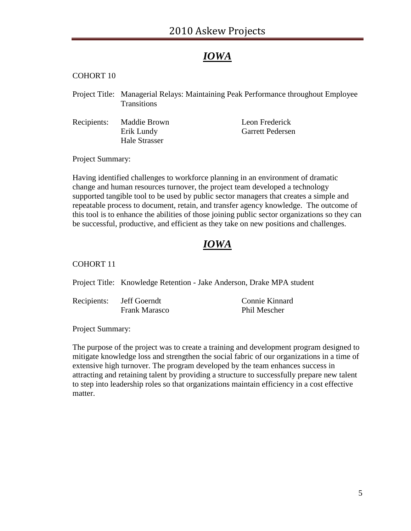#### *IOWA*

#### COHORT 10

- Project Title: Managerial Relays: Maintaining Peak Performance throughout Employee **Transitions**
- Recipients: Maddie Brown Leon Frederick Erik Lundy Garrett Pedersen Hale Strasser

Project Summary:

Having identified challenges to workforce planning in an environment of dramatic change and human resources turnover, the project team developed a technology supported tangible tool to be used by public sector managers that creates a simple and repeatable process to document, retain, and transfer agency knowledge. The outcome of this tool is to enhance the abilities of those joining public sector organizations so they can be successful, productive, and efficient as they take on new positions and challenges.

#### *IOWA*

#### COHORT 11

Project Title: Knowledge Retention - Jake Anderson, Drake MPA student

Recipients: Jeff Goerndt Connie Kinnard Frank Marasco Phil Mescher

Project Summary:

The purpose of the project was to create a training and development program designed to mitigate knowledge loss and strengthen the social fabric of our organizations in a time of extensive high turnover. The program developed by the team enhances success in attracting and retaining talent by providing a structure to successfully prepare new talent to step into leadership roles so that organizations maintain efficiency in a cost effective matter.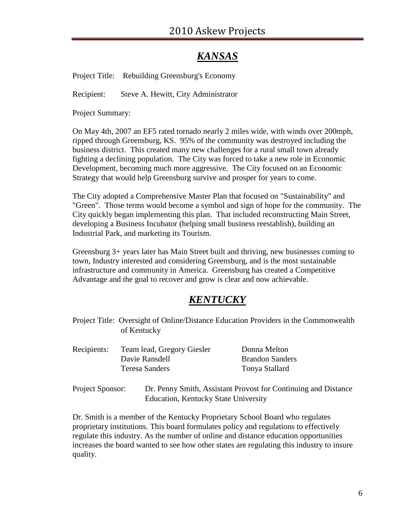## *KANSAS*

Project Title: Rebuilding Greensburg's Economy

Recipient: Steve A. Hewitt, City Administrator

Project Summary:

On May 4th, 2007 an EF5 rated tornado nearly 2 miles wide, with winds over 200mph, ripped through Greensburg, KS. 95% of the community was destroyed including the business district. This created many new challenges for a rural small town already fighting a declining population. The City was forced to take a new role in Economic Development, becoming much more aggressive. The City focused on an Economic Strategy that would help Greensburg survive and prosper for years to come.

The City adopted a Comprehensive Master Plan that focused on "Sustainability" and "Green". Those terms would become a symbol and sign of hope for the community. The City quickly began implementing this plan. That included reconstructing Main Street, developing a Business Incubator (helping small business reestablish), building an Industrial Park, and marketing its Tourism.

Greensburg 3+ years later has Main Street built and thriving, new businesses coming to town, Industry interested and considering Greensburg, and is the most sustainable infrastructure and community in America. Greensburg has created a Competitive Advantage and the goal to recover and grow is clear and now achievable.

## *KENTUCKY*

Project Title: Oversight of Online/Distance Education Providers in the Commonwealth of Kentucky

| Recipients: | Team lead, Gregory Giesler | Donna Melton           |
|-------------|----------------------------|------------------------|
|             | Davie Ransdell             | <b>Brandon Sanders</b> |
|             | Teresa Sanders             | Tonya Stallard         |

Project Sponsor: Dr. Penny Smith, Assistant Provost for Continuing and Distance Education, Kentucky State University

Dr. Smith is a member of the Kentucky Proprietary School Board who regulates proprietary institutions. This board formulates policy and regulations to effectively regulate this industry. As the number of online and distance education opportunities increases the board wanted to see how other states are regulating this industry to insure quality.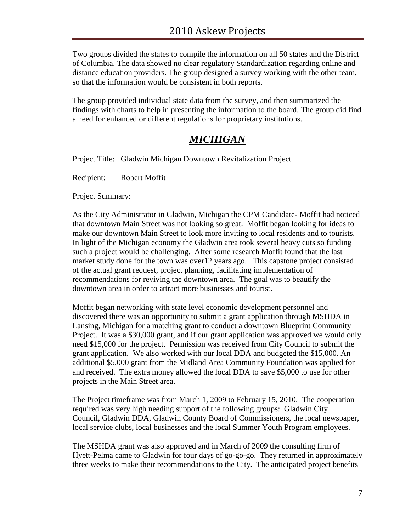Two groups divided the states to compile the information on all 50 states and the District of Columbia. The data showed no clear regulatory Standardization regarding online and distance education providers. The group designed a survey working with the other team, so that the information would be consistent in both reports.

The group provided individual state data from the survey, and then summarized the findings with charts to help in presenting the information to the board. The group did find a need for enhanced or different regulations for proprietary institutions.

## *MICHIGAN*

Project Title: Gladwin Michigan Downtown Revitalization Project

Recipient: Robert Moffit

Project Summary:

As the City Administrator in Gladwin, Michigan the CPM Candidate- Moffit had noticed that downtown Main Street was not looking so great. Moffit began looking for ideas to make our downtown Main Street to look more inviting to local residents and to tourists. In light of the Michigan economy the Gladwin area took several heavy cuts so funding such a project would be challenging. After some research Moffit found that the last market study done for the town was over12 years ago. This capstone project consisted of the actual grant request, project planning, facilitating implementation of recommendations for reviving the downtown area. The goal was to beautify the downtown area in order to attract more businesses and tourist.

Moffit began networking with state level economic development personnel and discovered there was an opportunity to submit a grant application through MSHDA in Lansing, Michigan for a matching grant to conduct a downtown Blueprint Community Project. It was a \$30,000 grant, and if our grant application was approved we would only need \$15,000 for the project. Permission was received from City Council to submit the grant application. We also worked with our local DDA and budgeted the \$15,000. An additional \$5,000 grant from the Midland Area Community Foundation was applied for and received. The extra money allowed the local DDA to save \$5,000 to use for other projects in the Main Street area.

The Project timeframe was from March 1, 2009 to February 15, 2010. The cooperation required was very high needing support of the following groups: Gladwin City Council, Gladwin DDA, Gladwin County Board of Commissioners, the local newspaper, local service clubs, local businesses and the local Summer Youth Program employees.

The MSHDA grant was also approved and in March of 2009 the consulting firm of Hyett-Pelma came to Gladwin for four days of go-go-go. They returned in approximately three weeks to make their recommendations to the City. The anticipated project benefits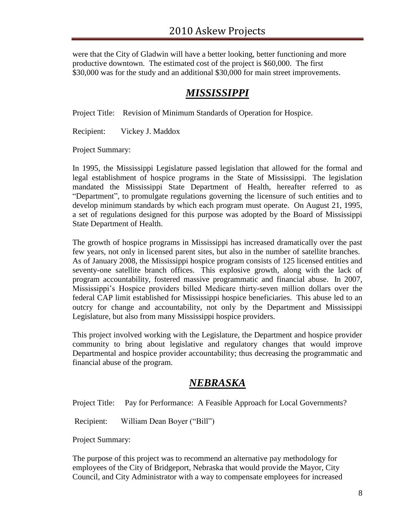were that the City of Gladwin will have a better looking, better functioning and more productive downtown. The estimated cost of the project is \$60,000. The first \$30,000 was for the study and an additional \$30,000 for main street improvements.

# *MISSISSIPPI*

Project Title: Revision of Minimum Standards of Operation for Hospice.

Recipient: Vickey J. Maddox

Project Summary:

In 1995, the Mississippi Legislature passed legislation that allowed for the formal and legal establishment of hospice programs in the State of Mississippi. The legislation mandated the Mississippi State Department of Health, hereafter referred to as "Department", to promulgate regulations governing the licensure of such entities and to develop minimum standards by which each program must operate. On August 21, 1995, a set of regulations designed for this purpose was adopted by the Board of Mississippi State Department of Health.

The growth of hospice programs in Mississippi has increased dramatically over the past few years, not only in licensed parent sites, but also in the number of satellite branches. As of January 2008, the Mississippi hospice program consists of 125 licensed entities and seventy-one satellite branch offices. This explosive growth, along with the lack of program accountability, fostered massive programmatic and financial abuse. In 2007, Mississippi's Hospice providers billed Medicare thirty-seven million dollars over the federal CAP limit established for Mississippi hospice beneficiaries. This abuse led to an outcry for change and accountability, not only by the Department and Mississippi Legislature, but also from many Mississippi hospice providers.

This project involved working with the Legislature, the Department and hospice provider community to bring about legislative and regulatory changes that would improve Departmental and hospice provider accountability; thus decreasing the programmatic and financial abuse of the program.

#### *NEBRASKA*

Project Title: Pay for Performance: A Feasible Approach for Local Governments?

Recipient: William Dean Boyer ("Bill")

Project Summary:

The purpose of this project was to recommend an alternative pay methodology for employees of the City of Bridgeport, Nebraska that would provide the Mayor, City Council, and City Administrator with a way to compensate employees for increased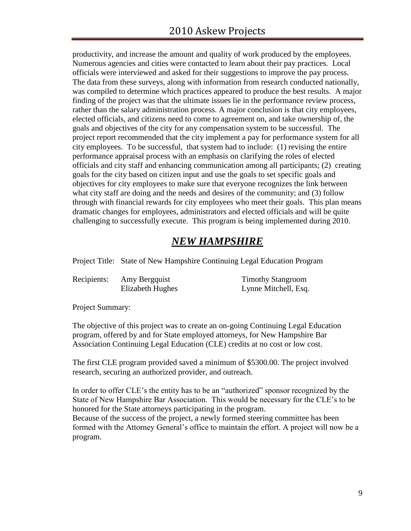productivity, and increase the amount and quality of work produced by the employees. Numerous agencies and cities were contacted to learn about their pay practices. Local officials were interviewed and asked for their suggestions to improve the pay process. The data from these surveys, along with information from research conducted nationally, was compiled to determine which practices appeared to produce the best results. A major finding of the project was that the ultimate issues lie in the performance review process, rather than the salary administration process. A major conclusion is that city employees, elected officials, and citizens need to come to agreement on, and take ownership of, the goals and objectives of the city for any compensation system to be successful. The project report recommended that the city implement a pay for performance system for all city employees. To be successful, that system had to include: (1) revising the entire performance appraisal process with an emphasis on clarifying the roles of elected officials and city staff and enhancing communication among all participants; (2) creating goals for the city based on citizen input and use the goals to set specific goals and objectives for city employees to make sure that everyone recognizes the link between what city staff are doing and the needs and desires of the community; and (3) follow through with financial rewards for city employees who meet their goals. This plan means dramatic changes for employees, administrators and elected officials and will be quite challenging to successfully execute. This program is being implemented during 2010.

## *NEW HAMPSHIRE*

Project Title: State of New Hampshire Continuing Legal Education Program

Recipients: Amy Bergquist Timothy Stangroom

Elizabeth Hughes Lynne Mitchell, Esq.

Project Summary:

The objective of this project was to create an on-going Continuing Legal Education program, offered by and for State employed attorneys, for New Hampshire Bar Association Continuing Legal Education (CLE) credits at no cost or low cost.

The first CLE program provided saved a minimum of \$5300.00. The project involved research, securing an authorized provider, and outreach.

In order to offer CLE's the entity has to be an "authorized" sponsor recognized by the State of New Hampshire Bar Association. This would be necessary for the CLE's to be honored for the State attorneys participating in the program.

Because of the success of the project, a newly formed steering committee has been formed with the Attorney General's office to maintain the effort. A project will now be a program.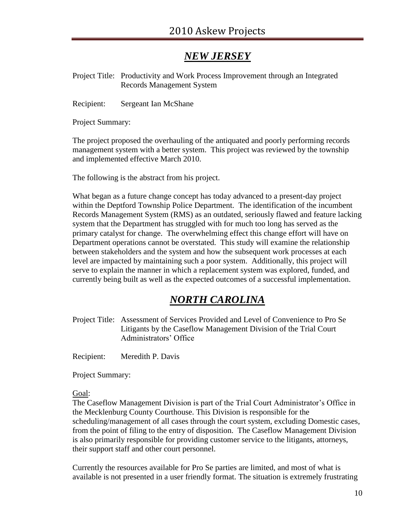## *NEW JERSEY*

Project Title: Productivity and Work Process Improvement through an Integrated Records Management System

Recipient: Sergeant Ian McShane

Project Summary:

The project proposed the overhauling of the antiquated and poorly performing records management system with a better system. This project was reviewed by the township and implemented effective March 2010.

The following is the abstract from his project.

What began as a future change concept has today advanced to a present-day project within the Deptford Township Police Department. The identification of the incumbent Records Management System (RMS) as an outdated, seriously flawed and feature lacking system that the Department has struggled with for much too long has served as the primary catalyst for change. The overwhelming effect this change effort will have on Department operations cannot be overstated. This study will examine the relationship between stakeholders and the system and how the subsequent work processes at each level are impacted by maintaining such a poor system. Additionally, this project will serve to explain the manner in which a replacement system was explored, funded, and currently being built as well as the expected outcomes of a successful implementation.

#### *NORTH CAROLINA*

Project Title: Assessment of Services Provided and Level of Convenience to Pro Se Litigants by the Caseflow Management Division of the Trial Court Administrators' Office

Recipient: Meredith P. Davis

Project Summary:

#### Goal:

The Caseflow Management Division is part of the Trial Court Administrator's Office in the Mecklenburg County Courthouse. This Division is responsible for the scheduling/management of all cases through the court system, excluding Domestic cases, from the point of filing to the entry of disposition. The Caseflow Management Division is also primarily responsible for providing customer service to the litigants, attorneys, their support staff and other court personnel.

Currently the resources available for Pro Se parties are limited, and most of what is available is not presented in a user friendly format. The situation is extremely frustrating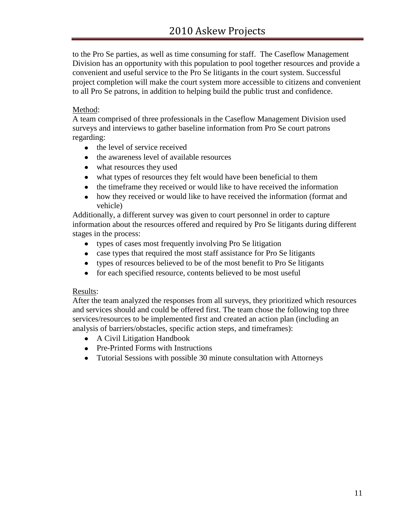to the Pro Se parties, as well as time consuming for staff. The Caseflow Management Division has an opportunity with this population to pool together resources and provide a convenient and useful service to the Pro Se litigants in the court system. Successful project completion will make the court system more accessible to citizens and convenient to all Pro Se patrons, in addition to helping build the public trust and confidence.

#### Method:

A team comprised of three professionals in the Caseflow Management Division used surveys and interviews to gather baseline information from Pro Se court patrons regarding:

- the level of service received
- the awareness level of available resources
- what resources they used
- what types of resources they felt would have been beneficial to them
- the timeframe they received or would like to have received the information
- how they received or would like to have received the information (format and  $\bullet$ vehicle)

Additionally, a different survey was given to court personnel in order to capture information about the resources offered and required by Pro Se litigants during different stages in the process:

- types of cases most frequently involving Pro Se litigation
- case types that required the most staff assistance for Pro Se litigants
- types of resources believed to be of the most benefit to Pro Se litigants
- for each specified resource, contents believed to be most useful

#### Results:

After the team analyzed the responses from all surveys, they prioritized which resources and services should and could be offered first. The team chose the following top three services/resources to be implemented first and created an action plan (including an analysis of barriers/obstacles, specific action steps, and timeframes):

- A Civil Litigation Handbook
- Pre-Printed Forms with Instructions
- Tutorial Sessions with possible 30 minute consultation with Attorneys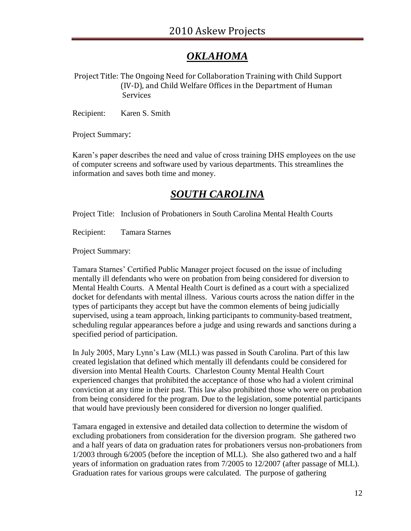# *OKLAHOMA*

Project Title: The Ongoing Need for Collaboration Training with Child Support (IV-D), and Child Welfare Offices in the Department of Human Services

Recipient: Karen S. Smith

Project Summary:

Karen's paper describes the need and value of cross training DHS employees on the use of computer screens and software used by various departments. This streamlines the information and saves both time and money.

#### *SOUTH CAROLINA*

Project Title: Inclusion of Probationers in South Carolina Mental Health Courts

Recipient: Tamara Starnes

Project Summary:

Tamara Starnes' Certified Public Manager project focused on the issue of including mentally ill defendants who were on probation from being considered for diversion to Mental Health Courts. A Mental Health Court is defined as a court with a specialized docket for defendants with mental illness. Various courts across the nation differ in the types of participants they accept but have the common elements of being judicially supervised, using a team approach, linking participants to community-based treatment, scheduling regular appearances before a judge and using rewards and sanctions during a specified period of participation.

In July 2005, Mary Lynn's Law (MLL) was passed in South Carolina. Part of this law created legislation that defined which mentally ill defendants could be considered for diversion into Mental Health Courts. Charleston County Mental Health Court experienced changes that prohibited the acceptance of those who had a violent criminal conviction at any time in their past. This law also prohibited those who were on probation from being considered for the program. Due to the legislation, some potential participants that would have previously been considered for diversion no longer qualified.

Tamara engaged in extensive and detailed data collection to determine the wisdom of excluding probationers from consideration for the diversion program. She gathered two and a half years of data on graduation rates for probationers versus non-probationers from 1/2003 through 6/2005 (before the inception of MLL). She also gathered two and a half years of information on graduation rates from 7/2005 to 12/2007 (after passage of MLL). Graduation rates for various groups were calculated. The purpose of gathering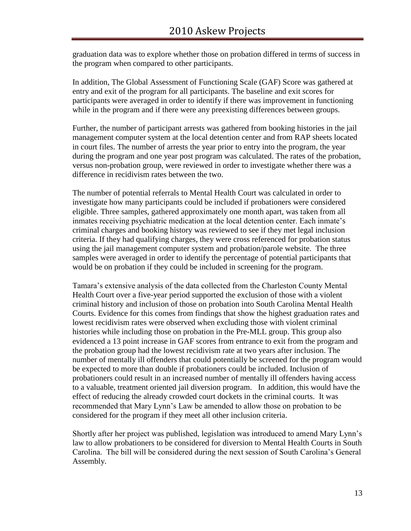graduation data was to explore whether those on probation differed in terms of success in the program when compared to other participants.

In addition, The Global Assessment of Functioning Scale (GAF) Score was gathered at entry and exit of the program for all participants. The baseline and exit scores for participants were averaged in order to identify if there was improvement in functioning while in the program and if there were any preexisting differences between groups.

Further, the number of participant arrests was gathered from booking histories in the jail management computer system at the local detention center and from RAP sheets located in court files. The number of arrests the year prior to entry into the program, the year during the program and one year post program was calculated. The rates of the probation, versus non-probation group, were reviewed in order to investigate whether there was a difference in recidivism rates between the two.

The number of potential referrals to Mental Health Court was calculated in order to investigate how many participants could be included if probationers were considered eligible. Three samples, gathered approximately one month apart, was taken from all inmates receiving psychiatric medication at the local detention center. Each inmate's criminal charges and booking history was reviewed to see if they met legal inclusion criteria. If they had qualifying charges, they were cross referenced for probation status using the jail management computer system and probation/parole website. The three samples were averaged in order to identify the percentage of potential participants that would be on probation if they could be included in screening for the program.

Tamara's extensive analysis of the data collected from the Charleston County Mental Health Court over a five-year period supported the exclusion of those with a violent criminal history and inclusion of those on probation into South Carolina Mental Health Courts. Evidence for this comes from findings that show the highest graduation rates and lowest recidivism rates were observed when excluding those with violent criminal histories while including those on probation in the Pre-MLL group. This group also evidenced a 13 point increase in GAF scores from entrance to exit from the program and the probation group had the lowest recidivism rate at two years after inclusion. The number of mentally ill offenders that could potentially be screened for the program would be expected to more than double if probationers could be included. Inclusion of probationers could result in an increased number of mentally ill offenders having access to a valuable, treatment oriented jail diversion program. In addition, this would have the effect of reducing the already crowded court dockets in the criminal courts. It was recommended that Mary Lynn's Law be amended to allow those on probation to be considered for the program if they meet all other inclusion criteria.

Shortly after her project was published, legislation was introduced to amend Mary Lynn's law to allow probationers to be considered for diversion to Mental Health Courts in South Carolina. The bill will be considered during the next session of South Carolina's General Assembly.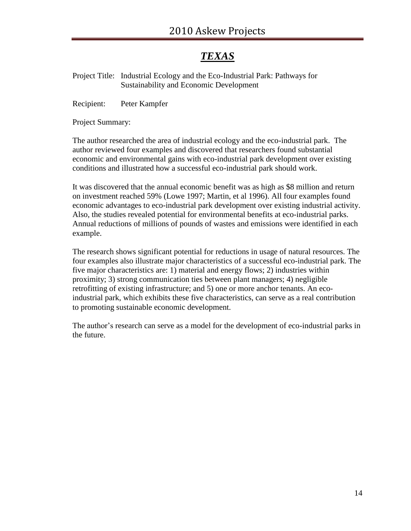# *TEXAS*

Project Title: Industrial Ecology and the Eco-Industrial Park: Pathways for Sustainability and Economic Development

Recipient: Peter Kampfer

Project Summary:

The author researched the area of industrial ecology and the eco-industrial park. The author reviewed four examples and discovered that researchers found substantial economic and environmental gains with eco-industrial park development over existing conditions and illustrated how a successful eco-industrial park should work.

It was discovered that the annual economic benefit was as high as \$8 million and return on investment reached 59% (Lowe 1997; Martin, et al 1996). All four examples found economic advantages to eco-industrial park development over existing industrial activity. Also, the studies revealed potential for environmental benefits at eco-industrial parks. Annual reductions of millions of pounds of wastes and emissions were identified in each example.

The research shows significant potential for reductions in usage of natural resources. The four examples also illustrate major characteristics of a successful eco-industrial park. The five major characteristics are: 1) material and energy flows; 2) industries within proximity; 3) strong communication ties between plant managers; 4) negligible retrofitting of existing infrastructure; and 5) one or more anchor tenants. An ecoindustrial park, which exhibits these five characteristics, can serve as a real contribution to promoting sustainable economic development.

The author's research can serve as a model for the development of eco-industrial parks in the future.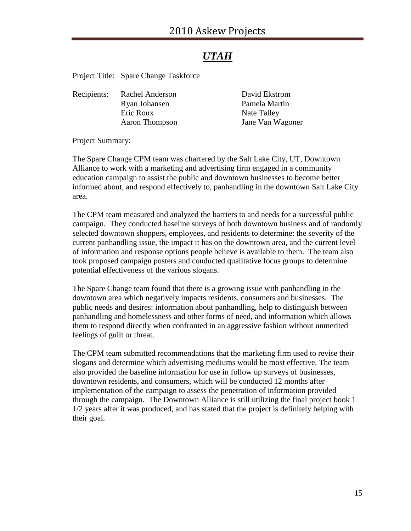# *UTAH*

Project Title: Spare Change Taskforce

| David Ekstrom    |
|------------------|
| Pamela Martin    |
| Nate Talley      |
| Jane Van Wagoner |
|                  |

Project Summary:

The Spare Change CPM team was chartered by the Salt Lake City, UT, Downtown Alliance to work with a marketing and advertising firm engaged in a community education campaign to assist the public and downtown businesses to become better informed about, and respond effectively to, panhandling in the downtown Salt Lake City area.

The CPM team measured and analyzed the barriers to and needs for a successful public campaign. They conducted baseline surveys of both downtown business and of randomly selected downtown shoppers, employees, and residents to determine: the severity of the current panhandling issue, the impact it has on the downtown area, and the current level of information and response options people believe is available to them. The team also took proposed campaign posters and conducted qualitative focus groups to determine potential effectiveness of the various slogans.

The Spare Change team found that there is a growing issue with panhandling in the downtown area which negatively impacts residents, consumers and businesses. The public needs and desires: information about panhandling, help to distinguish between panhandling and homelessness and other forms of need, and information which allows them to respond directly when confronted in an aggressive fashion without unmerited feelings of guilt or threat.

The CPM team submitted recommendations that the marketing firm used to revise their slogans and determine which advertising mediums would be most effective. The team also provided the baseline information for use in follow up surveys of businesses, downtown residents, and consumers, which will be conducted 12 months after implementation of the campaign to assess the penetration of information provided through the campaign. The Downtown Alliance is still utilizing the final project book 1 1/2 years after it was produced, and has stated that the project is definitely helping with their goal.